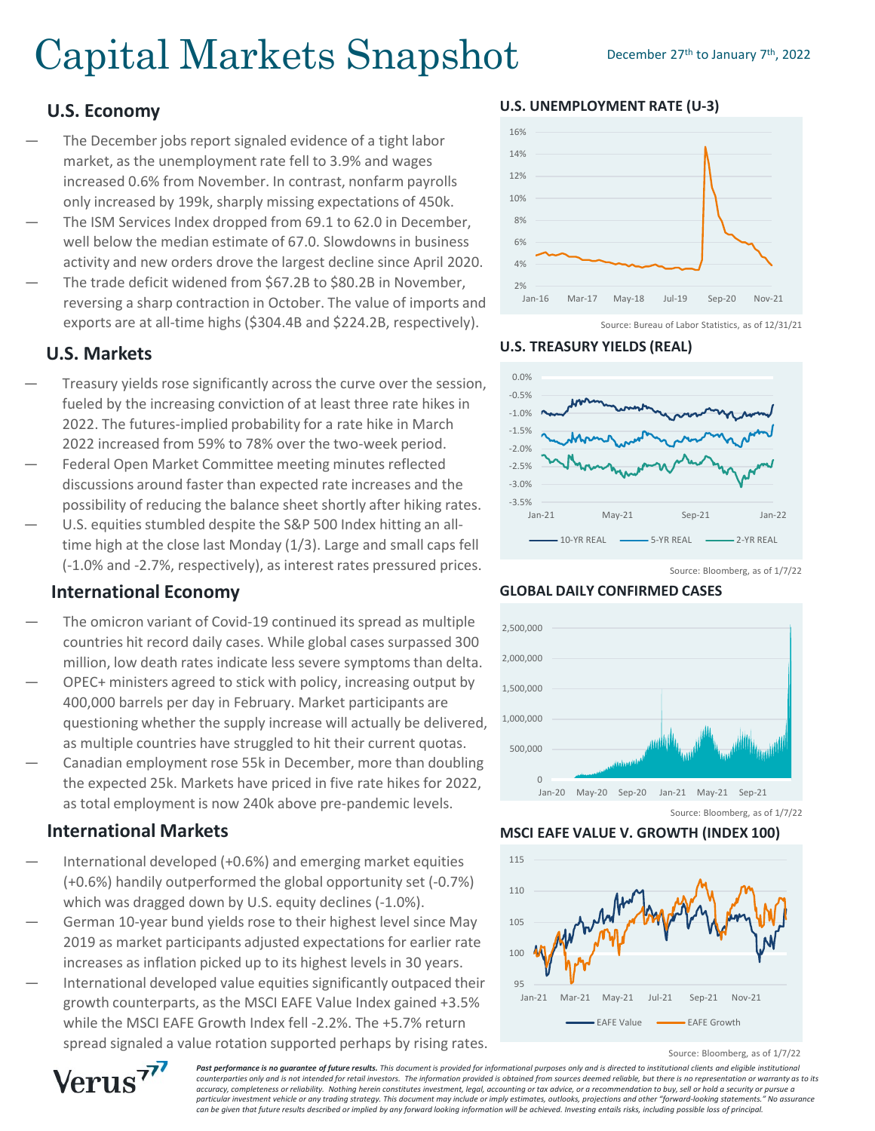# Capital Markets Snapshot December 27th to January 7th, 2022

#### **U.S. Economy**

- The December jobs report signaled evidence of a tight labor market, as the unemployment rate fell to 3.9% and wages increased 0.6% from November. In contrast, nonfarm payrolls only increased by 199k, sharply missing expectations of 450k.
- The ISM Services Index dropped from 69.1 to 62.0 in December. well below the median estimate of 67.0. Slowdowns in business activity and new orders drove the largest decline since April 2020.
- The trade deficit widened from \$67.2B to \$80.2B in November, reversing a sharp contraction in October. The value of imports and exports are at all-time highs (\$304.4B and \$224.2B, respectively).

### **U.S. Markets**

- Treasury yields rose significantly across the curve over the session, fueled by the increasing conviction of at least three rate hikes in 2022. The futures-implied probability for a rate hike in March 2022 increased from 59% to 78% over the two-week period.
- Federal Open Market Committee meeting minutes reflected discussions around faster than expected rate increases and the possibility of reducing the balance sheet shortly after hiking rates.
- U.S. equities stumbled despite the S&P 500 Index hitting an alltime high at the close last Monday (1/3). Large and small caps fell (-1.0% and -2.7%, respectively), as interest rates pressured prices.

#### **International Economy**

- The omicron variant of Covid-19 continued its spread as multiple countries hit record daily cases. While global cases surpassed 300 million, low death rates indicate less severe symptoms than delta.
- OPEC+ ministers agreed to stick with policy, increasing output by 400,000 barrels per day in February. Market participants are questioning whether the supply increase will actually be delivered, as multiple countries have struggled to hit their current quotas.
- Canadian employment rose 55k in December, more than doubling the expected 25k. Markets have priced in five rate hikes for 2022, as total employment is now 240k above pre-pandemic levels.

#### **International Markets**

- International developed (+0.6%) and emerging market equities (+0.6%) handily outperformed the global opportunity set (-0.7%) which was dragged down by U.S. equity declines (-1.0%).
- German 10-year bund yields rose to their highest level since May 2019 as market participants adjusted expectations for earlier rate increases as inflation picked up to its highest levels in 30 years.
- International developed value equities significantly outpaced their growth counterparts, as the MSCI EAFE Value Index gained +3.5% while the MSCI EAFE Growth Index fell -2.2%. The +5.7% return spread signaled a value rotation supported perhaps by rising rates.



Source: Bureau of Labor Statistics, as of 12/31/21





Source: Bloomberg, as of 1/7/22

**GLOBAL DAILY CONFIRMED CASES**



**MSCI EAFE VALUE V. GROWTH (INDEX 100)**



Source: Bloomberg, as of 1/7/22

Past performance is no quarantee of future results. This document is provided for informational purposes only and is directed to institutional clients and eligible institutional *counterparties only and is not intended for retail investors. The information provided is obtained from sources deemed reliable, but there is no representation or warranty as to its accuracy, completeness or reliability. Nothing herein constitutes investment, legal, accounting or tax advice, or a recommendation to buy, sell or hold a security or pursue a particular investment vehicle or any trading strategy. This document may include or imply estimates, outlooks, projections and other "forward-looking statements." No assurance can be given that future results described or implied by any forward looking information will be achieved. Investing entails risks, including possible loss of principal.*